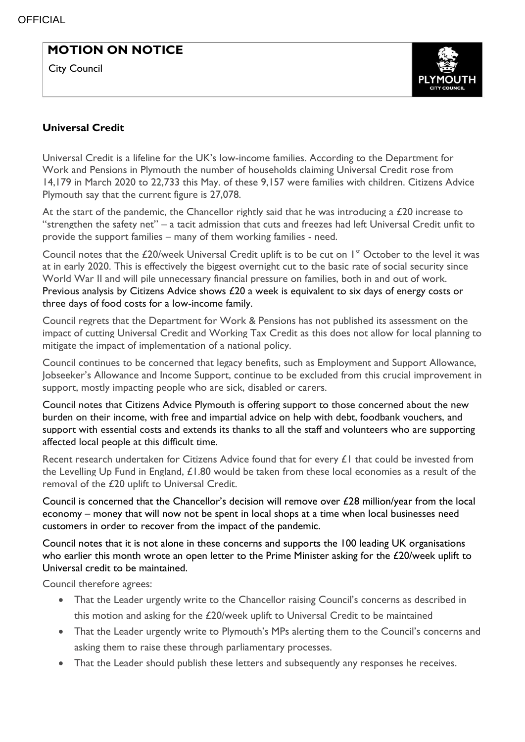I

## **MOTION ON NOTICE**

City Council



## **Universal Credit**

Universal Credit is a lifeline for the UK's low-income families. According to the Department for Work and Pensions in Plymouth the number of households claiming Universal Credit rose from 14,179 in March 2020 to 22,733 this May. of these 9,157 were families with children. Citizens Advice Plymouth say that the current figure is 27,078.

At the start of the pandemic, the Chancellor rightly said that he was introducing a £20 increase to "strengthen the safety net" – a tacit admission that cuts and freezes had left Universal Credit unfit to provide the support families – many of them working families - need.

Council notes that the £20/week Universal Credit uplift is to be cut on 1<sup>st</sup> October to the level it was at in early 2020. This is effectively the biggest overnight cut to the basic rate of social security since World War II and will pile unnecessary financial pressure on families, both in and out of work. Previous analysis by Citizens Advice shows £20 a week is equivalent to six days of energy costs or three days of food costs for a low-income family.

Council regrets that the Department for Work & Pensions has not published its assessment on the impact of cutting Universal Credit and Working Tax Credit as this does not allow for local planning to mitigate the impact of implementation of a national policy.

Council continues to be concerned that legacy benefits, such as Employment and Support Allowance, Jobseeker's Allowance and Income Support, continue to be excluded from this crucial improvement in support, mostly impacting people who are sick, disabled or carers.

Council notes that Citizens Advice Plymouth is offering support to those concerned about the new burden on their income, with free and impartial advice on help with debt, foodbank vouchers, and support with essential costs and extends its thanks to all the staff and volunteers who are supporting affected local people at this difficult time.

Recent research undertaken for Citizens Advice found that for every  $\epsilon$  l that could be invested from the Levelling Up Fund in England, £1.80 would be taken from these local economies as a result of the removal of the £20 uplift to Universal Credit.

Council is concerned that the Chancellor's decision will remove over £28 million/year from the local economy – money that will now not be spent in local shops at a time when local businesses need customers in order to recover from the impact of the pandemic.

Council notes that it is not alone in these concerns and supports the 100 leading UK organisations who earlier this month wrote an open letter to the Prime Minister asking for the £20/week uplift to Universal credit to be maintained.

Council therefore agrees:

- That the Leader urgently write to the Chancellor raising Council's concerns as described in this motion and asking for the £20/week uplift to Universal Credit to be maintained
- That the Leader urgently write to Plymouth's MPs alerting them to the Council's concerns and asking them to raise these through parliamentary processes.
- That the Leader should publish these letters and subsequently any responses he receives.